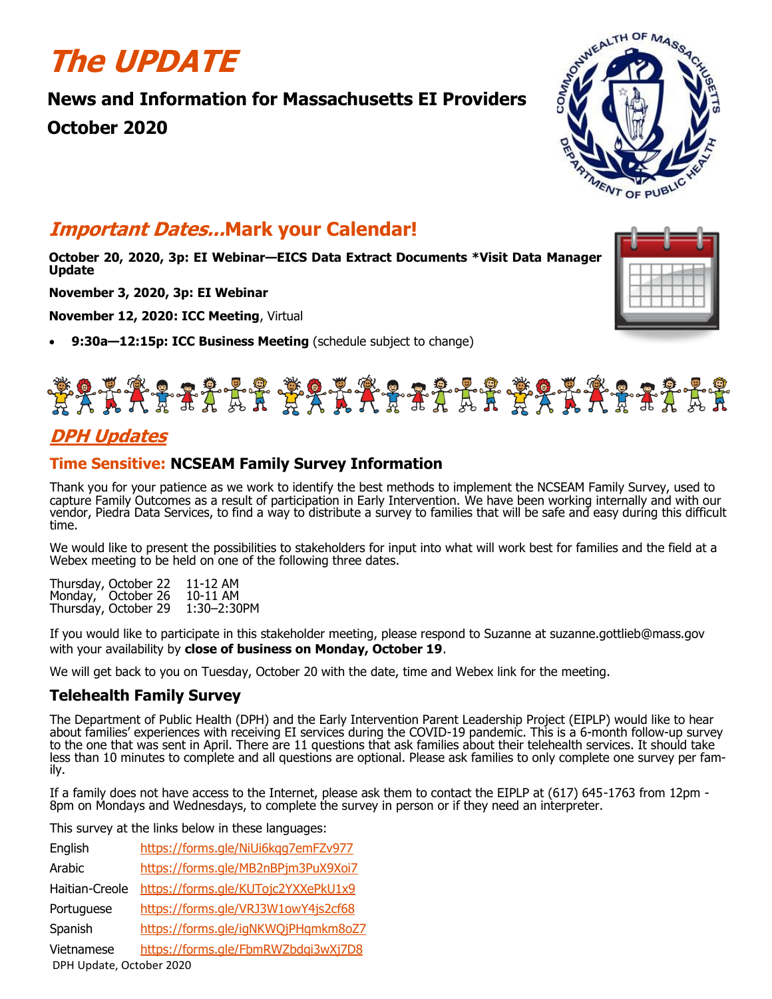## **The UPDATE**

## **News and Information for Massachusetts EI Providers**

**October 2020**



## **Important Dates...Mark your Calendar!**

**October 20, 2020, 3p: EI Webinar—EICS Data Extract Documents \*Visit Data Manager Update** 

**November 3, 2020, 3p: EI Webinar**

**November 12, 2020: ICC Meeting**, Virtual

• **9:30a—12:15p: ICC Business Meeting** (schedule subject to change)





## **DPH Updates**

## **Time Sensitive: NCSEAM Family Survey Information**

Thank you for your patience as we work to identify the best methods to implement the NCSEAM Family Survey, used to capture Family Outcomes as a result of participation in Early Intervention. We have been working internally and with our vendor, Piedra Data Services, to find a way to distribute a survey to families that will be safe and easy during this difficult time.

We would like to present the possibilities to stakeholders for input into what will work best for families and the field at a Webex meeting to be held on one of the following three dates.

Thursday, October 22 11-12 AM Monday, October 26 10-11 AM<br>Thursday, October 29 1:30-2:30PM Thursday, October 29

If you would like to participate in this stakeholder meeting, please respond to Suzanne at suzanne.gottlieb@mass.gov with your availability by **close of business on Monday, October 19**.

We will get back to you on Tuesday, October 20 with the date, time and Webex link for the meeting.

## **Telehealth Family Survey**

The Department of Public Health (DPH) and the Early Intervention Parent Leadership Project (EIPLP) would like to hear about families' experiences with receiving EI services during the COVID-19 pandemic. This is a 6-month follow-up survey to the one that was sent in April. There are 11 questions that ask families about their telehealth services. It should take less than 10 minutes to complete and all questions are optional. Please ask families to only complete one survey per family.

If a family does not have access to the Internet, please ask them to contact the EIPLP at (617) 645-1763 from 12pm - 8pm on Mondays and Wednesdays, to complete the survey in person or if they need an interpreter.

This survey at the links below in these languages:

DPH Update, October 2020 English <https://forms.gle/NiUi6kqg7emFZv977> Arabic <https://forms.gle/MB2nBPjm3PuX9Xoi7> Haitian-Creole <https://forms.gle/KUTojc2YXXePkU1x9> Portuguese <https://forms.gle/VRJ3W1owY4js2cf68> Spanish <https://forms.gle/igNKWQjPHqmkm8oZ7> Vietnamese <https://forms.gle/FbmRWZbdqi3wXj7D8>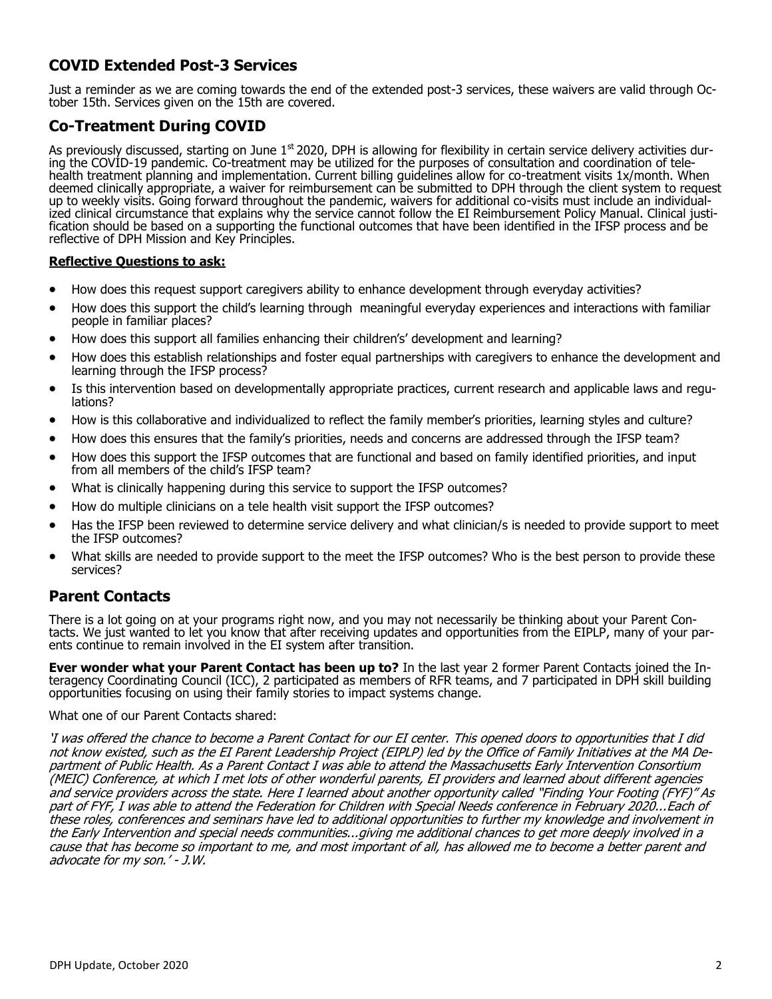## **COVID Extended Post-3 Services**

Just a reminder as we are coming towards the end of the extended post-3 services, these waivers are valid through October 15th. Services given on the 15th are covered.

### **Co-Treatment During COVID**

As previously discussed, starting on June 1<sup>st</sup> 2020, DPH is allowing for flexibility in certain service delivery activities during the COVID-19 pandemic. Co-treatment may be utilized for the purposes of consultation and coordination of telehealth treatment planning and implementation. Current billing guidelines allow for co-treatment visits 1x/month. When deemed clinically appropriate, a waiver for reimbursement can be submitted to DPH through the client system to request up to weekly visits. Going forward throughout the pandemic, waivers for additional co-visits must include an individualized clinical circumstance that explains why the service cannot follow the EI Reimbursement Policy Manual. Clinical justification should be based on a supporting the functional outcomes that have been identified in the IFSP process and be reflective of DPH Mission and Key Principles.

#### **Reflective Questions to ask:**

- How does this request support caregivers ability to enhance development through everyday activities?
- How does this support the child's learning through meaningful everyday experiences and interactions with familiar people in familiar places?
- How does this support all families enhancing their children's' development and learning?
- How does this establish relationships and foster equal partnerships with caregivers to enhance the development and learning through the IFSP process?
- Is this intervention based on developmentally appropriate practices, current research and applicable laws and regulations?
- How is this collaborative and individualized to reflect the family member's priorities, learning styles and culture?
- How does this ensures that the family's priorities, needs and concerns are addressed through the IFSP team?
- How does this support the IFSP outcomes that are functional and based on family identified priorities, and input from all members of the child's IFSP team?
- What is clinically happening during this service to support the IFSP outcomes?
- How do multiple clinicians on a tele health visit support the IFSP outcomes?
- Has the IFSP been reviewed to determine service delivery and what clinician/s is needed to provide support to meet the IFSP outcomes?
- What skills are needed to provide support to the meet the IFSP outcomes? Who is the best person to provide these services?

### **Parent Contacts**

There is a lot going on at your programs right now, and you may not necessarily be thinking about your Parent Contacts. We just wanted to let you know that after receiving updates and opportunities from the EIPLP, many of your parents continue to remain involved in the EI system after transition.

**Ever wonder what your Parent Contact has been up to?** In the last year 2 former Parent Contacts joined the Interagency Coordinating Council (ICC), 2 participated as members of RFR teams, and 7 participated in DPH skill building opportunities focusing on using their family stories to impact systems change.

#### What one of our Parent Contacts shared:

'I was offered the chance to become a Parent Contact for our EI center. This opened doors to opportunities that I did not know existed, such as the EI Parent Leadership Project (EIPLP) led by the Office of Family Initiatives at the MA Department of Public Health. As a Parent Contact I was able to attend the Massachusetts Early Intervention Consortium (MEIC) Conference, at which I met lots of other wonderful parents, EI providers and learned about different agencies and service providers across the state. Here I learned about another opportunity called "Finding Your Footing (FYF)" As part of FYF, I was able to attend the Federation for Children with Special Needs conference in February 2020...Each of these roles, conferences and seminars have led to additional opportunities to further my knowledge and involvement in the Early Intervention and special needs communities...giving me additional chances to get more deeply involved in a cause that has become so important to me, and most important of all, has allowed me to become a better parent and advocate for my son.' - J.W.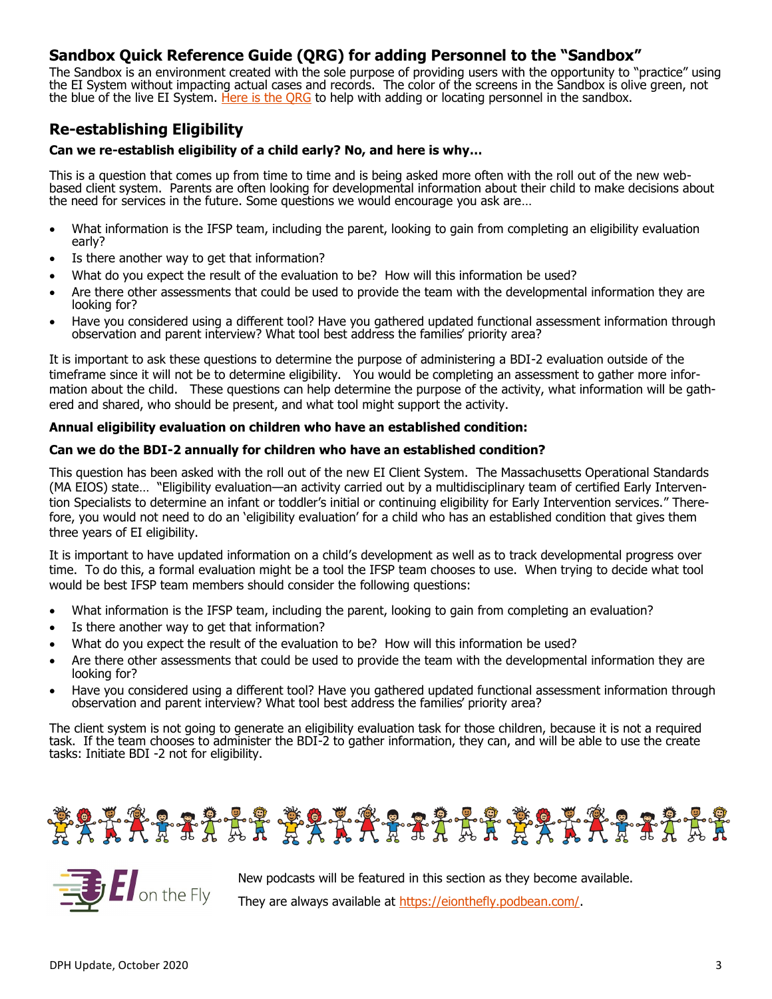## **Sandbox Quick Reference Guide (QRG) for adding Personnel to the "Sandbox"**

The Sandbox is an environment created with the sole purpose of providing users with the opportunity to "practice" using the EI System without impacting actual cases and records. The color of the screens in the Sandbox is olive green, not the blue of the live EI System. [Here is the QRG](https://files.constantcontact.com/dafff9ae001/46f47faf-830b-413b-8011-7e566192b0fd.docx) to help with adding or locating personnel in the sandbox.

### **Re-establishing Eligibility**

#### **Can we re-establish eligibility of a child early? No, and here is why…**

This is a question that comes up from time to time and is being asked more often with the roll out of the new webbased client system. Parents are often looking for developmental information about their child to make decisions about the need for services in the future. Some questions we would encourage you ask are…

- What information is the IFSP team, including the parent, looking to gain from completing an eligibility evaluation early?
- Is there another way to get that information?
- What do you expect the result of the evaluation to be? How will this information be used?
- Are there other assessments that could be used to provide the team with the developmental information they are looking for?
- Have you considered using a different tool? Have you gathered updated functional assessment information through observation and parent interview? What tool best address the families' priority area?

It is important to ask these questions to determine the purpose of administering a BDI-2 evaluation outside of the timeframe since it will not be to determine eligibility. You would be completing an assessment to gather more information about the child. These questions can help determine the purpose of the activity, what information will be gathered and shared, who should be present, and what tool might support the activity.

#### **Annual eligibility evaluation on children who have an established condition:**

#### **Can we do the BDI-2 annually for children who have an established condition?**

This question has been asked with the roll out of the new EI Client System. The Massachusetts Operational Standards (MA EIOS) state… "Eligibility evaluation—an activity carried out by a multidisciplinary team of certified Early Intervention Specialists to determine an infant or toddler's initial or continuing eligibility for Early Intervention services." Therefore, you would not need to do an 'eligibility evaluation' for a child who has an established condition that gives them three years of EI eligibility.

It is important to have updated information on a child's development as well as to track developmental progress over time. To do this, a formal evaluation might be a tool the IFSP team chooses to use. When trying to decide what tool would be best IFSP team members should consider the following questions:

- What information is the IFSP team, including the parent, looking to gain from completing an evaluation?
- Is there another way to get that information?
- What do you expect the result of the evaluation to be? How will this information be used?
- Are there other assessments that could be used to provide the team with the developmental information they are looking for?
- Have you considered using a different tool? Have you gathered updated functional assessment information through observation and parent interview? What tool best address the families' priority area?

The client system is not going to generate an eligibility evaluation task for those children, because it is not a required task. If the team chooses to administer the BDI-2 to gather information, they can, and will be able to use the create tasks: Initiate BDI -2 not for eligibility.





New podcasts will be featured in this section as they become available. They are always available at [https://eionthefly.podbean.com/.](https://eionthefly.podbean.com/)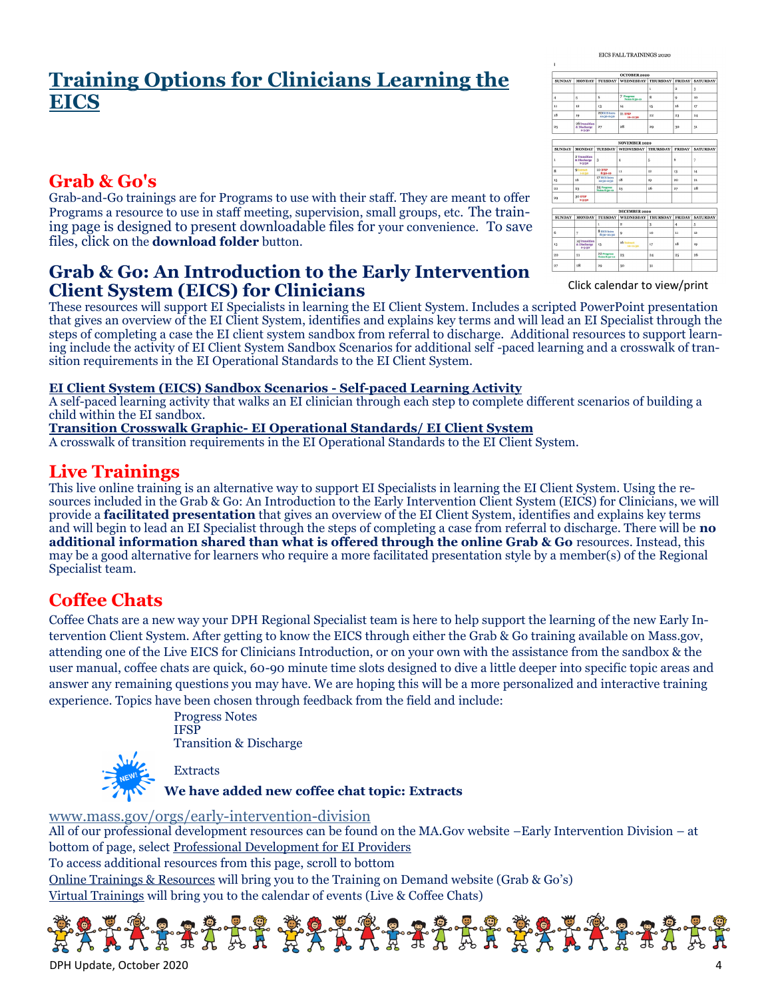## **Training Options for Clinicians Learning the EICS**

## **Grab & Go's**

Grab-and-Go trainings are for Programs to use with their staff. They are meant to offer Programs a resource to use in staff meeting, supervision, small groups, etc. The training page is designed to present downloadable files for your convenience. To save files, click on the **download folder** button.

## **Grab & Go: An Introduction to the Early Intervention Client System (EICS) for Clinicians**

These resources will support EI Specialists in learning the EI Client System. Includes a scripted PowerPoint presentation that gives an overview of the EI Client System, identifies and explains key terms and will lead an EI Specialist through the steps of completing a case the EI client system sandbox from referral to discharge. Additional resources to support learning include the activity of EI Client System Sandbox Scenarios for additional self -paced learning and a crosswalk of transition requirements in the EI Operational Standards to the EI Client System.

#### **EI Client System (EICS) Sandbox Scenarios - Self-paced Learning Activity**

A self-paced learning activity that walks an EI clinician through each step to complete different scenarios of building a child within the EI sandbox.

#### **Transition Crosswalk Graphic- EI Operational Standards/ EI Client System**

A crosswalk of transition requirements in the EI Operational Standards to the EI Client System.

## **Live Trainings**

This live online training is an alternative way to support EI Specialists in learning the EI Client System. Using the resources included in the Grab & Go: An Introduction to the Early Intervention Client System (EICS) for Clinicians, we will provide a **facilitated presentation** that gives an overview of the EI Client System, identifies and explains key terms and will begin to lead an EI Specialist through the steps of completing a case from referral to discharge. There will be **no additional information shared than what is offered through the online Grab & Go** resources. Instead, this may be a good alternative for learners who require a more facilitated presentation style by a member(s) of the Regional Specialist team.

## **Coffee Chats**

Coffee Chats are a new way your DPH Regional Specialist team is here to help support the learning of the new Early Intervention Client System. After getting to know the EICS through either the Grab & Go training available on Mass.gov, attending one of the Live EICS for Clinicians Introduction, or on your own with the assistance from the sandbox & the user manual, coffee chats are quick, 60-90 minute time slots designed to dive a little deeper into specific topic areas and answer any remaining questions you may have. We are hoping this will be a more personalized and interactive training experience. Topics have been chosen through feedback from the field and include:

> Progress Notes **IFSP** Transition & Discharge



**Extracts** 

**We have added new coffee chat topic: Extracts**

[www.mass.gov/orgs/early](https://www.mass.gov/orgs/early-intervention-division)-intervention-division

All of our professional development resources can be found on the MA.Gov website –Early Intervention Division – at bottom of page, select Professional Development for EI Providers

To access additional resources from this page, scroll to bottom

Online Trainings & Resources will bring you to the Training on Demand website (Grab  $\&$  Go's)

Virtual Trainings will bring you to the calendar of events (Live & Coffee Chats)



|               |                                                     |                              |                                    | ı               | 2                | з                |
|---------------|-----------------------------------------------------|------------------------------|------------------------------------|-----------------|------------------|------------------|
| $\ddot{4}$    | 5                                                   | 6                            | 7 Progress<br><b>Notes 8:10-10</b> | 8               | $\overline{Q}$   | 10 <sup>10</sup> |
| $\mathbf{u}$  | 12                                                  | 13                           | 14                                 | 15              | 16               | 17               |
| 18            | 19                                                  | 200CS latro<br>12:30-2:30    | 21 IFSP<br>10-11:30                | $^{22}$         | 23               | 24               |
| 25            | 26 Transition<br>& Discharge<br>a-guso              | 27                           | 28                                 | 29              | 30               | 31               |
|               |                                                     |                              | <b>NOVEMBER 2020</b>               |                 |                  |                  |
| <b>SUNDAY</b> | <b>MONDAY</b>                                       | <b>TUESDAY</b>               | <b>WEDNESDAY</b>                   | <b>THURSDAY</b> | <b>FRIDAY</b>    | <b>SATURDAY</b>  |
|               |                                                     |                              |                                    |                 |                  |                  |
| $\mathbf{1}$  | 2 Transition<br>& Discharge<br>$2 - 3130$           | 3                            | $\ddot{a}$                         | 5               | 6                | 7                |
| $\mathbf{8}$  | <b>QEstract</b><br>1-2-10                           | <b>10 IFSP</b><br>8:10-10    | $\mathbf{u}$                       | 12              | 13               | 14               |
| 15            | 16                                                  | 17 EICS Intro<br>12:30-2:30  | 18                                 | 1Q              | 20               | $_{21}$          |
| $^{22}$       | 23                                                  | 24 Progress<br>Notes 8:10-10 | 25                                 | 26              | 27               | 28               |
| 29            | <b>201157</b><br>$2 - 3130$                         |                              |                                    |                 |                  |                  |
|               |                                                     |                              | DECEMBER 2020                      |                 |                  |                  |
| <b>SUNDAY</b> | <b>MONDAY</b>                                       | <b>TUESDAY</b>               | <b>WEDNESDAY THURSDAY</b>          |                 | <b>FRIDAY</b>    | <b>SATURDAY</b>  |
|               |                                                     | ı                            | $\overline{2}$                     | 3               | $\boldsymbol{A}$ | 5                |
| 6             | $\overline{\tau}$                                   | 8 EICS Intro<br>8:30-10:30   | $\bf{Q}$                           | 10              | $\mathbf{11}$    | $12^{12}$        |
| 13            | <b>14 Transition</b><br>& Discharge<br>$9 - 5 - 10$ | 15                           | 16 Estract<br>10-11:30             | 17              | 1R               | 19               |
| 20            | $^{21}$                                             | 22 Progress<br>Notes 8rgo-so | 23                                 | 24              | 25               | 26               |
| 27            | 28                                                  | 20                           | <sub>20</sub>                      | 21              |                  |                  |

[Click calendar to view/print](https://files.constantcontact.com/dafff9ae001/ad42d40e-6d1e-4a8e-82fd-f5051156acf6.png)

EICS FALL TRAININGS 2020

 $\begin{array}{|l|c|c|c|c|}\hline & \multicolumn{1}{c|}{\text{OCTOBER 2020}}\\ \hline & \multicolumn{1}{c|}{\text{SUMday}} & \multicolumn{1}{c|}{\text{MONDAY}} & \multicolumn{1}{c|}{\text{THURBAY}} & \multicolumn{1}{c|}{\text{RIDAY}} & \text{SATURDAY} \\ \hline \end{array}$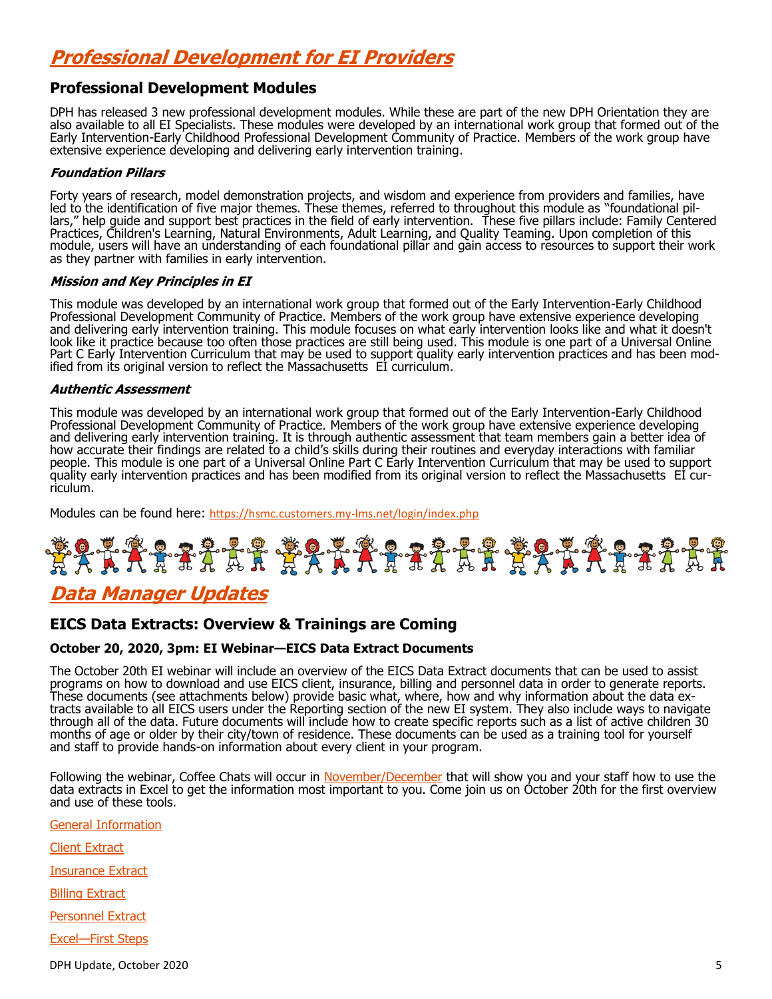## **Professional Development for EI Providers**

#### **Professional Development Modules**

DPH has released 3 new professional development modules. While these are part of the new DPH Orientation they are also available to all EI Specialists. These modules were developed by an international work group that formed out of the Early Intervention-Early Childhood Professional Development Community of Practice. Members of the work group have extensive experience developing and delivering early intervention training.

#### **Foundation Pillars**

Forty years of research, model demonstration projects, and wisdom and experience from providers and families, have led to the identification of five major themes. These themes, referred to throughout this module as "foundational pillars," help guide and support best practices in the field of early intervention. These five pillars include: Family Centered Practices, Children's Learning, Natural Environments, Adult Learning, and Quality Teaming. Upon completion of this module, users will have an understanding of each foundational pillar and gain access to resources to support their work as they partner with families in early intervention.

#### **Mission and Key Principles in EI**

This module was developed by an international work group that formed out of the Early Intervention-Early Childhood Professional Development Community of Practice. Members of the work group have extensive experience developing and delivering early intervention training. This module focuses on what early intervention looks like and what it doesn't look like it practice because too often those practices are still being used. This module is one part of a Universal Online Part C Early Intervention Curriculum that may be used to support quality early intervention practices and has been modified from its original version to reflect the Massachusetts EI curriculum.

#### **Authentic Assessment**

This module was developed by an international work group that formed out of the Early Intervention-Early Childhood Professional Development Community of Practice. Members of the work group have extensive experience developing and delivering early intervention training. It is through authentic assessment that team members gain a better idea of how accurate their findings are related to a child's skills during their routines and everyday interactions with familiar people. This module is one part of a Universal Online Part C Early Intervention Curriculum that may be used to support quality early intervention practices and has been modified from its original version to reflect the Massachusetts EI curriculum.

Modules can be found here: [https://hsmc.customers.my](https://hsmc.customers.my-lms.net/login/index.php)-lms.net/login/index.php

# <u> \$2XXXXXXX \$2XXXXXXXXXXXXXXXXXXX</u>

## **Data Manager Updates**

#### **EICS Data Extracts: Overview & Trainings are Coming**

#### **October 20, 2020, 3pm: EI Webinar—EICS Data Extract Documents**

The October 20th EI webinar will include an overview of the EICS Data Extract documents that can be used to assist programs on how to download and use EICS client, insurance, billing and personnel data in order to generate reports. These documents (see attachments below) provide basic what, where, how and why information about the data extracts available to all EICS users under the Reporting section of the new EI system. They also include ways to navigate through all of the data. Future documents will include how to create specific reports such as a list of active children 30 months of age or older by their city/town of residence. These documents can be used as a training tool for yourself and staff to provide hands-on information about every client in your program.

Following the webinar, Coffee Chats will occur in [November/December](https://files.constantcontact.com/dafff9ae001/ad42d40e-6d1e-4a8e-82fd-f5051156acf6.png) that will show you and your staff how to use the data extracts in Excel to get the information most important to you. Come join us on October 20th for the first overview and use of these tools.

[General Information](https://files.constantcontact.com/dafff9ae001/bd56aa7b-05cf-4c59-bac1-7a15bae49afb.docx)

[Client Extract](https://files.constantcontact.com/dafff9ae001/ae7105cb-b008-4f79-b0a1-86aae4ec86e0.docx)

[Insurance Extract](https://files.constantcontact.com/dafff9ae001/fc71bc4f-a6c1-4359-95ce-3323da9266ea.docx)

[Billing Extract](https://files.constantcontact.com/dafff9ae001/b5189345-8a5e-4760-bd65-514c0b2013e4.docx)

[Personnel Extract](https://files.constantcontact.com/dafff9ae001/f0762875-5407-4ee4-8bfb-043fb397b62d.docx)

[Excel—First Steps](https://files.constantcontact.com/dafff9ae001/f9496a59-bb23-49bb-8666-13caf664c4df.pdf)

DPH Update, October 2020 5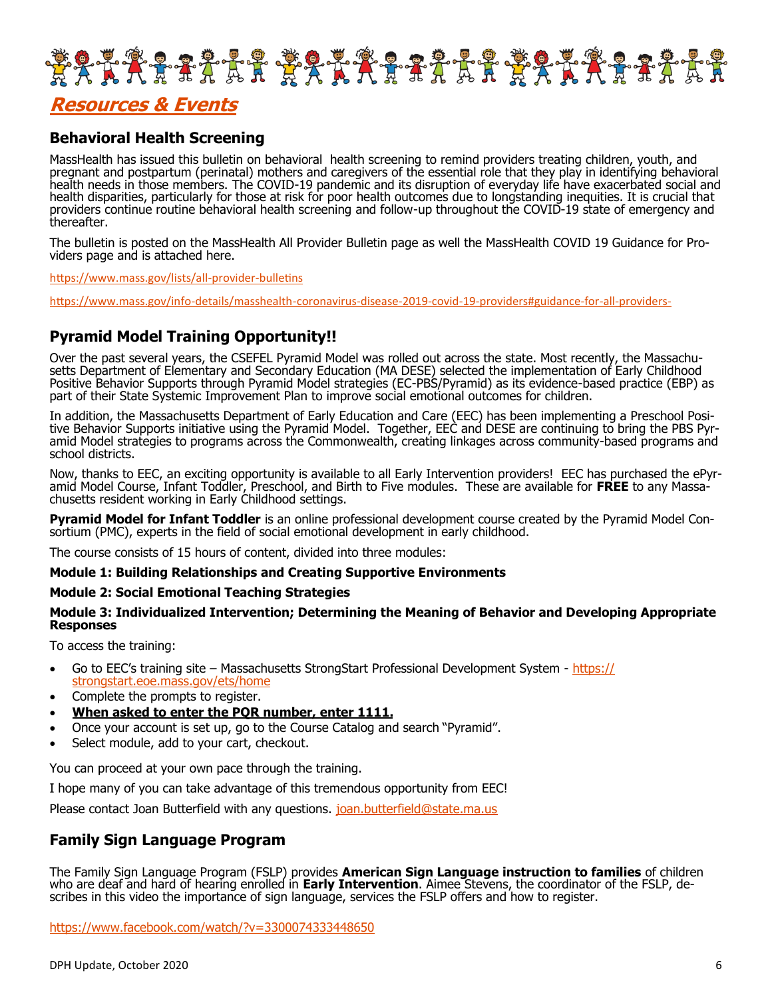

## **Resources & Events**

#### **Behavioral Health Screening**

MassHealth has issued this bulletin on behavioral health screening to remind providers treating children, youth, and pregnant and postpartum (perinatal) mothers and caregivers of the essential role that they play in identifying behavioral health needs in those members. The COVID-19 pandemic and its disruption of everyday life have exacerbated social and health disparities, particularly for those at risk for poor health outcomes due to longstanding inequities. It is crucial that providers continue routine behavioral health screening and follow-up throughout the COVID-19 state of emergency and thereafter.

The bulletin is posted on the MassHealth All Provider Bulletin page as well the MassHealth COVID 19 Guidance for Providers page and is attached here.

[https://www.mass.gov/lists/all](https://www.mass.gov/lists/all-provider-bulletins)-provider-bulletins

[https://www.mass.gov/info](https://www.mass.gov/info-details/masshealth-coronavirus-disease-2019-covid-19-providers#guidance-for-all-providers-​)-details/masshealth-coronavirus-disease-2019-covid-19-providers#guidance-for-all-providers-

#### **Pyramid Model Training Opportunity!!**

Over the past several years, the CSEFEL Pyramid Model was rolled out across the state. Most recently, the Massachusetts Department of Elementary and Secondary Education (MA DESE) selected the implementation of Early Childhood Positive Behavior Supports through Pyramid Model strategies (EC-PBS/Pyramid) as its evidence-based practice (EBP) as part of their State Systemic Improvement Plan to improve social emotional outcomes for children.

In addition, the Massachusetts Department of Early Education and Care (EEC) has been implementing a Preschool Positive Behavior Supports initiative using the Pyramid Model. Together, EEC and DESE are continuing to bring the PBS Pyramid Model strategies to programs across the Commonwealth, creating linkages across community-based programs and school districts.

Now, thanks to EEC, an exciting opportunity is available to all Early Intervention providers! EEC has purchased the ePyramid Model Course, Infant Toddler, Preschool, and Birth to Five modules. These are available for **FREE** to any Massachusetts resident working in Early Childhood settings.

**Pyramid Model for Infant Toddler** is an online professional development course created by the Pyramid Model Consortium (PMC), experts in the field of social emotional development in early childhood.

The course consists of 15 hours of content, divided into three modules:

#### **Module 1: Building Relationships and Creating Supportive Environments**

#### **Module 2: Social Emotional Teaching Strategies**

#### **Module 3: Individualized Intervention; Determining the Meaning of Behavior and Developing Appropriate Responses**

To access the training:

- Go to EEC's training site Massachusetts StrongStart Professional Development System [https://](https://strongstart.eoe.mass.gov/ets/home) [strongstart.eoe.mass.gov/ets/home](https://strongstart.eoe.mass.gov/ets/home)
- Complete the prompts to register.
- **When asked to enter the PQR number, enter 1111.**
- Once your account is set up, go to the Course Catalog and search "Pyramid".
- Select module, add to your cart, checkout.

You can proceed at your own pace through the training.

I hope many of you can take advantage of this tremendous opportunity from EEC!

Please contact Joan Butterfield with any questions. [joan.butterfield@state.ma.us](mailto:joan.butterfield@state.ma.us)

#### **Family Sign Language Program**

The Family Sign Language Program (FSLP) provides **American Sign Language instruction to families** of children who are deaf and hard of hearing enrolled in **Early Intervention**. Aimee Stevens, the coordinator of the FSLP, describes in this video the importance of sign language, services the FSLP offers and how to register.

<https://www.facebook.com/watch/?v=3300074333448650>